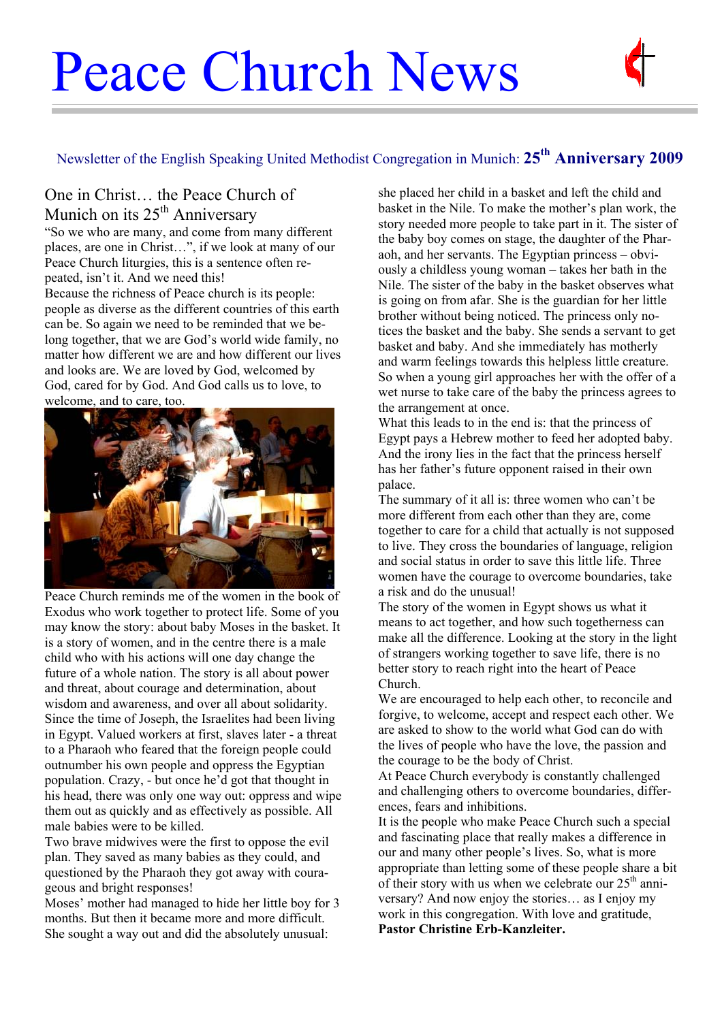# Peace Church News



# Newsletter of the English Speaking United Methodist Congregation in Munich: **25th Anniversary 2009**

### One in Christ… the Peace Church of Munich on its  $25<sup>th</sup>$  Anniversary

"So we who are many, and come from many different places, are one in Christ…", if we look at many of our Peace Church liturgies, this is a sentence often repeated, isn't it. And we need this!

Because the richness of Peace church is its people: people as diverse as the different countries of this earth can be. So again we need to be reminded that we belong together, that we are God's world wide family, no matter how different we are and how different our lives and looks are. We are loved by God, welcomed by God, cared for by God. And God calls us to love, to welcome, and to care, too.



Peace Church reminds me of the women in the book of Exodus who work together to protect life. Some of you may know the story: about baby Moses in the basket. It is a story of women, and in the centre there is a male child who with his actions will one day change the future of a whole nation. The story is all about power and threat, about courage and determination, about wisdom and awareness, and over all about solidarity. Since the time of Joseph, the Israelites had been living in Egypt. Valued workers at first, slaves later - a threat to a Pharaoh who feared that the foreign people could outnumber his own people and oppress the Egyptian population. Crazy, - but once he'd got that thought in his head, there was only one way out: oppress and wipe them out as quickly and as effectively as possible. All male babies were to be killed.

Two brave midwives were the first to oppose the evil plan. They saved as many babies as they could, and questioned by the Pharaoh they got away with courageous and bright responses!

Moses' mother had managed to hide her little boy for 3 months. But then it became more and more difficult. She sought a way out and did the absolutely unusual:

she placed her child in a basket and left the child and basket in the Nile. To make the mother's plan work, the story needed more people to take part in it. The sister of the baby boy comes on stage, the daughter of the Pharaoh, and her servants. The Egyptian princess – obviously a childless young woman – takes her bath in the Nile. The sister of the baby in the basket observes what is going on from afar. She is the guardian for her little brother without being noticed. The princess only notices the basket and the baby. She sends a servant to get basket and baby. And she immediately has motherly and warm feelings towards this helpless little creature. So when a young girl approaches her with the offer of a wet nurse to take care of the baby the princess agrees to the arrangement at once.

What this leads to in the end is: that the princess of Egypt pays a Hebrew mother to feed her adopted baby. And the irony lies in the fact that the princess herself has her father's future opponent raised in their own palace.

The summary of it all is: three women who can't be more different from each other than they are, come together to care for a child that actually is not supposed to live. They cross the boundaries of language, religion and social status in order to save this little life. Three women have the courage to overcome boundaries, take a risk and do the unusual!

The story of the women in Egypt shows us what it means to act together, and how such togetherness can make all the difference. Looking at the story in the light of strangers working together to save life, there is no better story to reach right into the heart of Peace Church.

We are encouraged to help each other, to reconcile and forgive, to welcome, accept and respect each other. We are asked to show to the world what God can do with the lives of people who have the love, the passion and the courage to be the body of Christ.

At Peace Church everybody is constantly challenged and challenging others to overcome boundaries, differences, fears and inhibitions.

It is the people who make Peace Church such a special and fascinating place that really makes a difference in our and many other people's lives. So, what is more appropriate than letting some of these people share a bit of their story with us when we celebrate our  $25<sup>th</sup>$  anniversary? And now enjoy the stories… as I enjoy my work in this congregation. With love and gratitude, **Pastor Christine Erb-Kanzleiter.**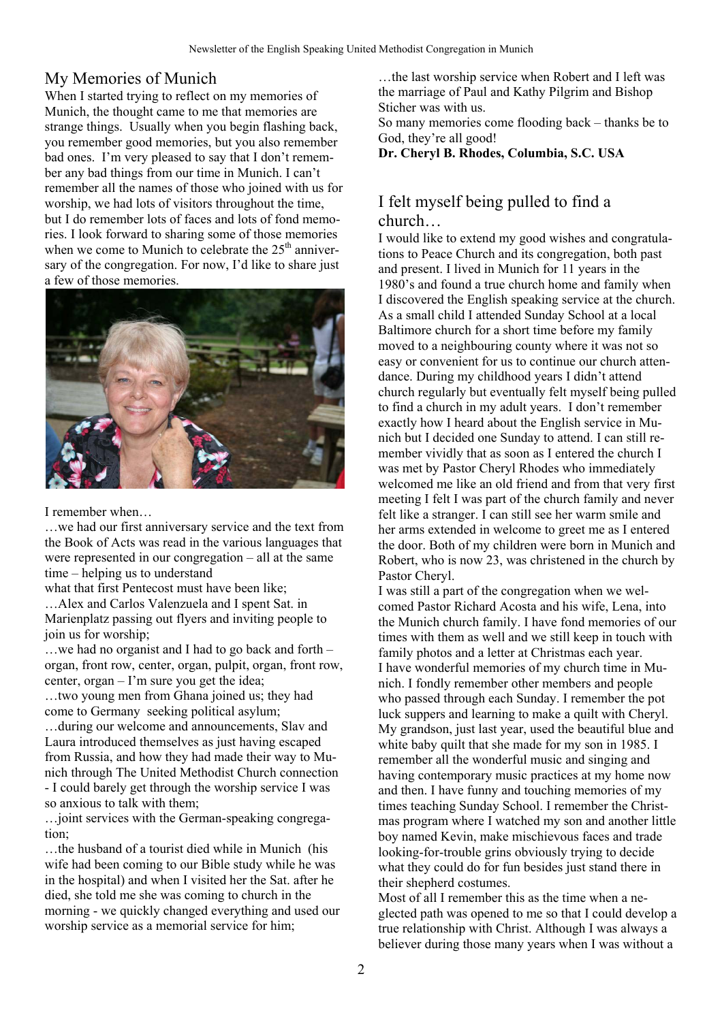#### My Memories of Munich

When I started trying to reflect on my memories of Munich, the thought came to me that memories are strange things. Usually when you begin flashing back, you remember good memories, but you also remember bad ones. I'm very pleased to say that I don't remember any bad things from our time in Munich. I can't remember all the names of those who joined with us for worship, we had lots of visitors throughout the time, but I do remember lots of faces and lots of fond memories. I look forward to sharing some of those memories when we come to Munich to celebrate the  $25<sup>th</sup>$  anniversary of the congregation. For now, I'd like to share just a few of those memories.



I remember when…

…we had our first anniversary service and the text from the Book of Acts was read in the various languages that were represented in our congregation – all at the same time – helping us to understand

what that first Pentecost must have been like;

…Alex and Carlos Valenzuela and I spent Sat. in Marienplatz passing out flyers and inviting people to join us for worship;

…we had no organist and I had to go back and forth – organ, front row, center, organ, pulpit, organ, front row, center, organ – I'm sure you get the idea;

…two young men from Ghana joined us; they had come to Germany seeking political asylum;

…during our welcome and announcements, Slav and Laura introduced themselves as just having escaped from Russia, and how they had made their way to Munich through The United Methodist Church connection - I could barely get through the worship service I was so anxious to talk with them;

…joint services with the German-speaking congregation;

…the husband of a tourist died while in Munich (his wife had been coming to our Bible study while he was in the hospital) and when I visited her the Sat. after he died, she told me she was coming to church in the morning - we quickly changed everything and used our worship service as a memorial service for him;

…the last worship service when Robert and I left was the marriage of Paul and Kathy Pilgrim and Bishop Sticher was with us.

So many memories come flooding back – thanks be to God, they're all good!

**Dr. Cheryl B. Rhodes, Columbia, S.C. USA** 

#### I felt myself being pulled to find a church…

I would like to extend my good wishes and congratulations to Peace Church and its congregation, both past and present. I lived in Munich for 11 years in the 1980's and found a true church home and family when I discovered the English speaking service at the church. As a small child I attended Sunday School at a local Baltimore church for a short time before my family moved to a neighbouring county where it was not so easy or convenient for us to continue our church attendance. During my childhood years I didn't attend church regularly but eventually felt myself being pulled to find a church in my adult years. I don't remember exactly how I heard about the English service in Munich but I decided one Sunday to attend. I can still remember vividly that as soon as I entered the church I was met by Pastor Cheryl Rhodes who immediately welcomed me like an old friend and from that very first meeting I felt I was part of the church family and never felt like a stranger. I can still see her warm smile and her arms extended in welcome to greet me as I entered the door. Both of my children were born in Munich and Robert, who is now 23, was christened in the church by Pastor Cheryl.

I was still a part of the congregation when we welcomed Pastor Richard Acosta and his wife, Lena, into the Munich church family. I have fond memories of our times with them as well and we still keep in touch with family photos and a letter at Christmas each year. I have wonderful memories of my church time in Munich. I fondly remember other members and people who passed through each Sunday. I remember the pot luck suppers and learning to make a quilt with Cheryl. My grandson, just last year, used the beautiful blue and white baby quilt that she made for my son in 1985. I remember all the wonderful music and singing and having contemporary music practices at my home now and then. I have funny and touching memories of my times teaching Sunday School. I remember the Christmas program where I watched my son and another little boy named Kevin, make mischievous faces and trade looking-for-trouble grins obviously trying to decide what they could do for fun besides just stand there in their shepherd costumes.

Most of all I remember this as the time when a neglected path was opened to me so that I could develop a true relationship with Christ. Although I was always a believer during those many years when I was without a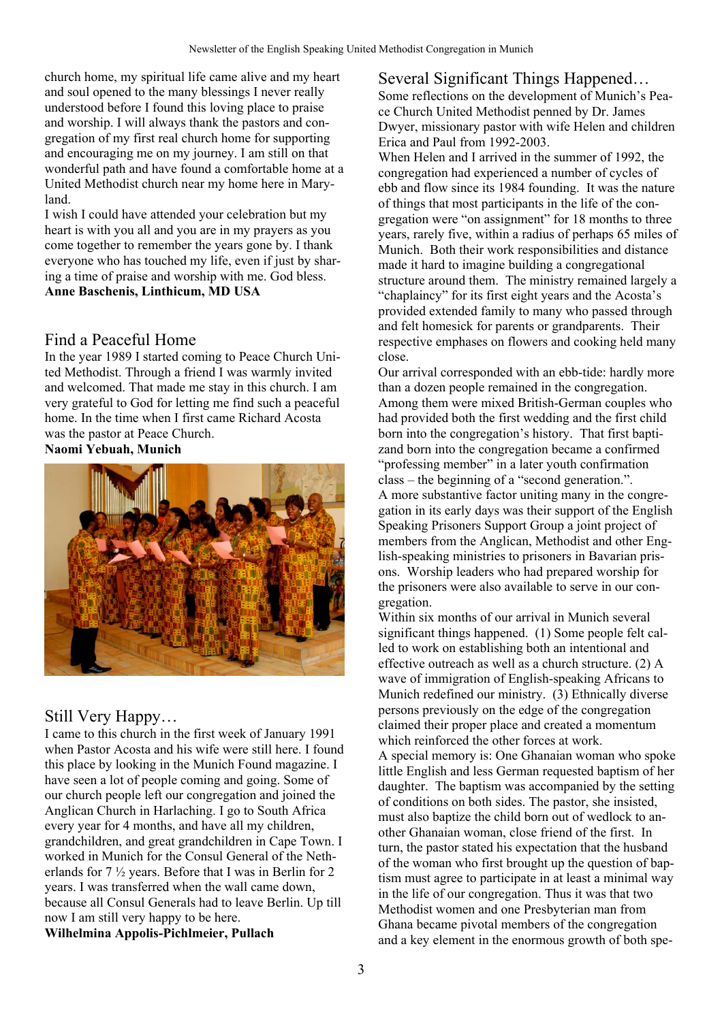church home, my spiritual life came alive and my heart and soul opened to the many blessings I never really understood before I found this loving place to praise and worship. I will always thank the pastors and congregation of my first real church home for supporting and encouraging me on my journey. I am still on that wonderful path and have found a comfortable home at a United Methodist church near my home here in Maryland.

I wish I could have attended your celebration but my heart is with you all and you are in my prayers as you come together to remember the years gone by. I thank everyone who has touched my life, even if just by sharing a time of praise and worship with me. God bless. **Anne Baschenis, Linthicum, MD USA** 

#### Find a Peaceful Home

In the year 1989 I started coming to Peace Church United Methodist. Through a friend I was warmly invited and welcomed. That made me stay in this church. I am very grateful to God for letting me find such a peaceful home. In the time when I first came Richard Acosta was the pastor at Peace Church. **Naomi Yebuah, Munich** 



## Still Very Happy…

I came to this church in the first week of January 1991 when Pastor Acosta and his wife were still here. I found this place by looking in the Munich Found magazine. I have seen a lot of people coming and going. Some of our church people left our congregation and joined the Anglican Church in Harlaching. I go to South Africa every year for 4 months, and have all my children, grandchildren, and great grandchildren in Cape Town. I worked in Munich for the Consul General of the Netherlands for 7 ½ years. Before that I was in Berlin for 2 years. I was transferred when the wall came down, because all Consul Generals had to leave Berlin. Up till now I am still very happy to be here. **Wilhelmina Appolis-Pichlmeier, Pullach** 

Several Significant Things Happened… Some reflections on the development of Munich's Peace Church United Methodist penned by Dr. James Dwyer, missionary pastor with wife Helen and children Erica and Paul from 1992-2003.

When Helen and I arrived in the summer of 1992, the congregation had experienced a number of cycles of ebb and flow since its 1984 founding. It was the nature of things that most participants in the life of the congregation were "on assignment" for 18 months to three years, rarely five, within a radius of perhaps 65 miles of Munich. Both their work responsibilities and distance made it hard to imagine building a congregational structure around them. The ministry remained largely a "chaplaincy" for its first eight years and the Acosta's provided extended family to many who passed through and felt homesick for parents or grandparents. Their respective emphases on flowers and cooking held many close.

Our arrival corresponded with an ebb-tide: hardly more than a dozen people remained in the congregation. Among them were mixed British-German couples who had provided both the first wedding and the first child born into the congregation's history. That first baptizand born into the congregation became a confirmed "professing member" in a later youth confirmation class – the beginning of a "second generation.". A more substantive factor uniting many in the congregation in its early days was their support of the English Speaking Prisoners Support Group a joint project of members from the Anglican, Methodist and other English-speaking ministries to prisoners in Bavarian prisons. Worship leaders who had prepared worship for the prisoners were also available to serve in our congregation.

Within six months of our arrival in Munich several significant things happened. (1) Some people felt called to work on establishing both an intentional and effective outreach as well as a church structure. (2) A wave of immigration of English-speaking Africans to Munich redefined our ministry. (3) Ethnically diverse persons previously on the edge of the congregation claimed their proper place and created a momentum which reinforced the other forces at work. A special memory is: One Ghanaian woman who spoke little English and less German requested baptism of her daughter. The baptism was accompanied by the setting of conditions on both sides. The pastor, she insisted, must also baptize the child born out of wedlock to another Ghanaian woman, close friend of the first. In turn, the pastor stated his expectation that the husband of the woman who first brought up the question of baptism must agree to participate in at least a minimal way in the life of our congregation. Thus it was that two Methodist women and one Presbyterian man from Ghana became pivotal members of the congregation and a key element in the enormous growth of both spe-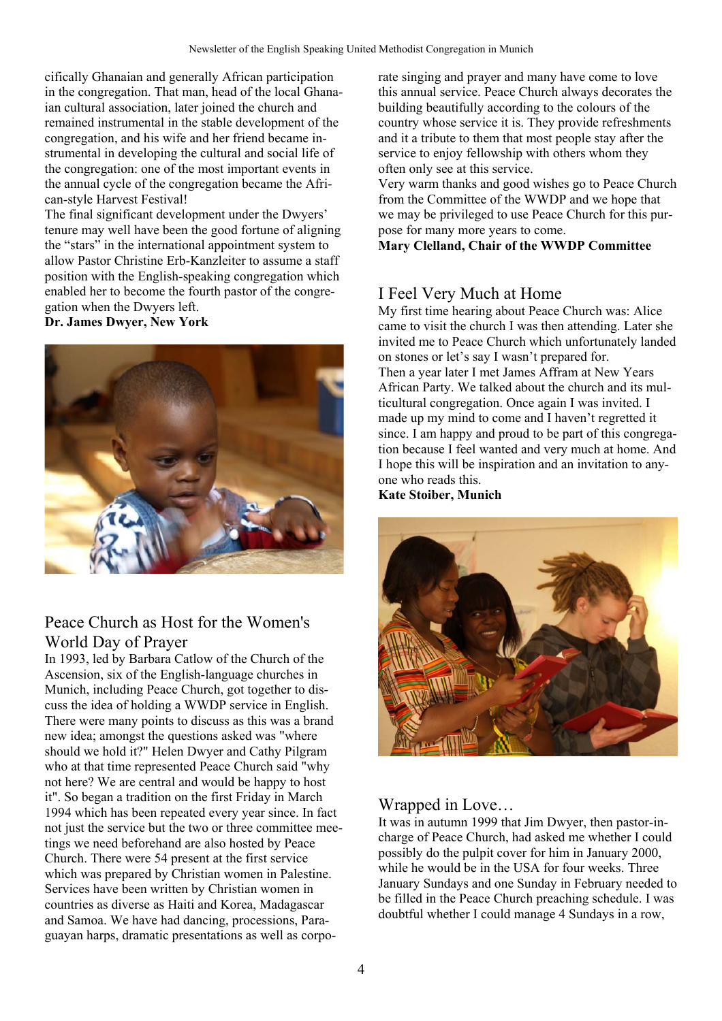cifically Ghanaian and generally African participation in the congregation. That man, head of the local Ghanaian cultural association, later joined the church and remained instrumental in the stable development of the congregation, and his wife and her friend became instrumental in developing the cultural and social life of the congregation: one of the most important events in the annual cycle of the congregation became the African-style Harvest Festival!

The final significant development under the Dwyers' tenure may well have been the good fortune of aligning the "stars" in the international appointment system to allow Pastor Christine Erb-Kanzleiter to assume a staff position with the English-speaking congregation which enabled her to become the fourth pastor of the congregation when the Dwyers left.

**Dr. James Dwyer, New York** 



## Peace Church as Host for the Women's World Day of Prayer

In 1993, led by Barbara Catlow of the Church of the Ascension, six of the English-language churches in Munich, including Peace Church, got together to discuss the idea of holding a WWDP service in English. There were many points to discuss as this was a brand new idea; amongst the questions asked was "where should we hold it?" Helen Dwyer and Cathy Pilgram who at that time represented Peace Church said "why not here? We are central and would be happy to host it". So began a tradition on the first Friday in March 1994 which has been repeated every year since. In fact not just the service but the two or three committee meetings we need beforehand are also hosted by Peace Church. There were 54 present at the first service which was prepared by Christian women in Palestine. Services have been written by Christian women in countries as diverse as Haiti and Korea, Madagascar and Samoa. We have had dancing, processions, Paraguayan harps, dramatic presentations as well as corporate singing and prayer and many have come to love this annual service. Peace Church always decorates the building beautifully according to the colours of the country whose service it is. They provide refreshments and it a tribute to them that most people stay after the service to enjoy fellowship with others whom they often only see at this service.

Very warm thanks and good wishes go to Peace Church from the Committee of the WWDP and we hope that we may be privileged to use Peace Church for this purpose for many more years to come.

**Mary Clelland, Chair of the WWDP Committee** 

#### I Feel Very Much at Home

My first time hearing about Peace Church was: Alice came to visit the church I was then attending. Later she invited me to Peace Church which unfortunately landed on stones or let's say I wasn't prepared for. Then a year later I met James Affram at New Years African Party. We talked about the church and its multicultural congregation. Once again I was invited. I made up my mind to come and I haven't regretted it since. I am happy and proud to be part of this congregation because I feel wanted and very much at home. And I hope this will be inspiration and an invitation to anyone who reads this.

**Kate Stoiber, Munich** 



#### Wrapped in Love…

It was in autumn 1999 that Jim Dwyer, then pastor-incharge of Peace Church, had asked me whether I could possibly do the pulpit cover for him in January 2000, while he would be in the USA for four weeks. Three January Sundays and one Sunday in February needed to be filled in the Peace Church preaching schedule. I was doubtful whether I could manage 4 Sundays in a row,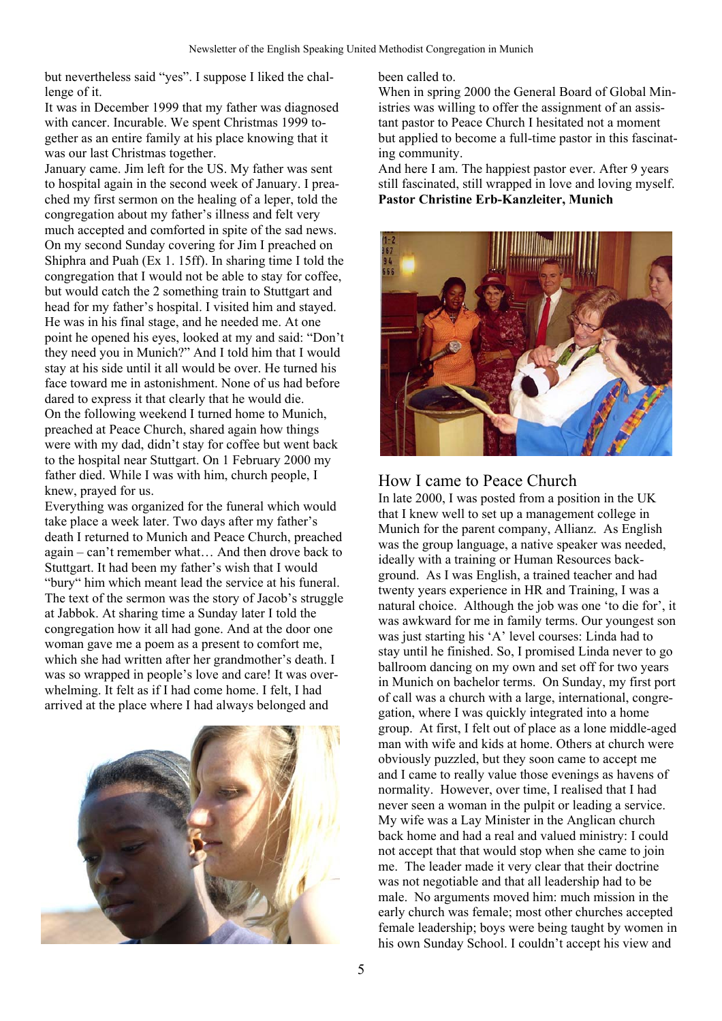but nevertheless said "yes". I suppose I liked the challenge of it.

It was in December 1999 that my father was diagnosed with cancer. Incurable. We spent Christmas 1999 together as an entire family at his place knowing that it was our last Christmas together.

January came. Jim left for the US. My father was sent to hospital again in the second week of January. I preached my first sermon on the healing of a leper, told the congregation about my father's illness and felt very much accepted and comforted in spite of the sad news. On my second Sunday covering for Jim I preached on Shiphra and Puah (Ex 1. 15ff). In sharing time I told the congregation that I would not be able to stay for coffee, but would catch the 2 something train to Stuttgart and head for my father's hospital. I visited him and stayed. He was in his final stage, and he needed me. At one point he opened his eyes, looked at my and said: "Don't they need you in Munich?" And I told him that I would stay at his side until it all would be over. He turned his face toward me in astonishment. None of us had before dared to express it that clearly that he would die. On the following weekend I turned home to Munich, preached at Peace Church, shared again how things were with my dad, didn't stay for coffee but went back to the hospital near Stuttgart. On 1 February 2000 my father died. While I was with him, church people, I knew, prayed for us.

Everything was organized for the funeral which would take place a week later. Two days after my father's death I returned to Munich and Peace Church, preached again – can't remember what… And then drove back to Stuttgart. It had been my father's wish that I would "bury" him which meant lead the service at his funeral. The text of the sermon was the story of Jacob's struggle at Jabbok. At sharing time a Sunday later I told the congregation how it all had gone. And at the door one woman gave me a poem as a present to comfort me, which she had written after her grandmother's death. I was so wrapped in people's love and care! It was overwhelming. It felt as if I had come home. I felt, I had arrived at the place where I had always belonged and



been called to.

When in spring 2000 the General Board of Global Ministries was willing to offer the assignment of an assistant pastor to Peace Church I hesitated not a moment but applied to become a full-time pastor in this fascinating community.

And here I am. The happiest pastor ever. After 9 years still fascinated, still wrapped in love and loving myself. **Pastor Christine Erb-Kanzleiter, Munich** 



## How I came to Peace Church

In late 2000, I was posted from a position in the UK that I knew well to set up a management college in Munich for the parent company, Allianz. As English was the group language, a native speaker was needed, ideally with a training or Human Resources background. As I was English, a trained teacher and had twenty years experience in HR and Training, I was a natural choice. Although the job was one 'to die for', it was awkward for me in family terms. Our youngest son was just starting his 'A' level courses: Linda had to stay until he finished. So, I promised Linda never to go ballroom dancing on my own and set off for two years in Munich on bachelor terms. On Sunday, my first port of call was a church with a large, international, congregation, where I was quickly integrated into a home group. At first, I felt out of place as a lone middle-aged man with wife and kids at home. Others at church were obviously puzzled, but they soon came to accept me and I came to really value those evenings as havens of normality. However, over time, I realised that I had never seen a woman in the pulpit or leading a service. My wife was a Lay Minister in the Anglican church back home and had a real and valued ministry: I could not accept that that would stop when she came to join me. The leader made it very clear that their doctrine was not negotiable and that all leadership had to be male. No arguments moved him: much mission in the early church was female; most other churches accepted female leadership; boys were being taught by women in his own Sunday School. I couldn't accept his view and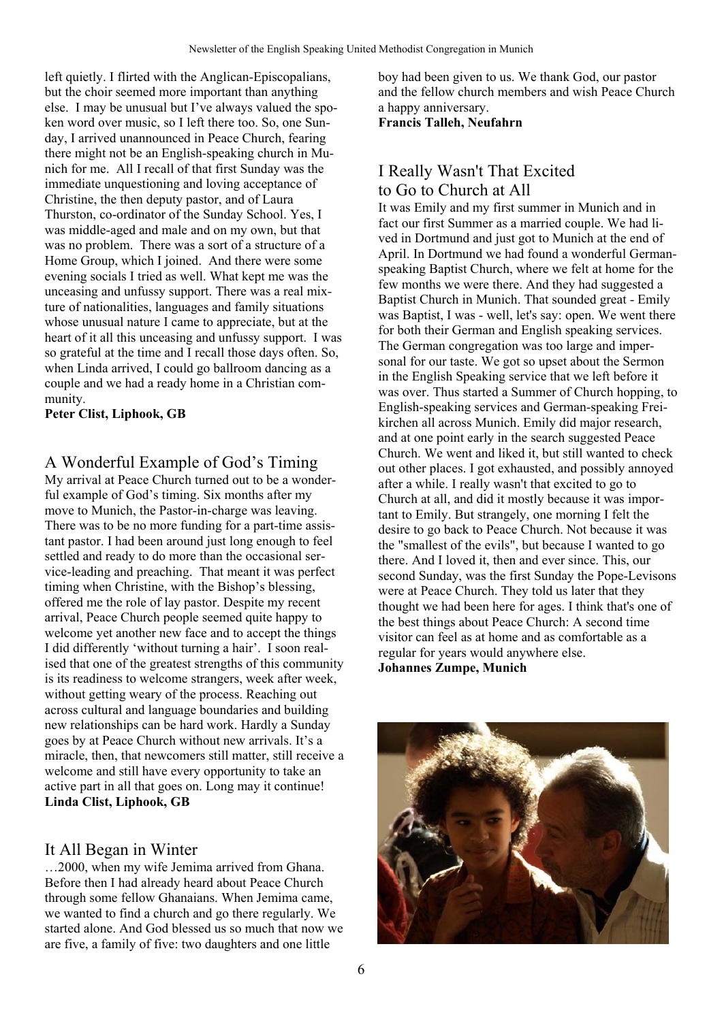left quietly. I flirted with the Anglican-Episcopalians, but the choir seemed more important than anything else. I may be unusual but I've always valued the spoken word over music, so I left there too. So, one Sunday, I arrived unannounced in Peace Church, fearing there might not be an English-speaking church in Munich for me. All I recall of that first Sunday was the immediate unquestioning and loving acceptance of Christine, the then deputy pastor, and of Laura Thurston, co-ordinator of the Sunday School. Yes, I was middle-aged and male and on my own, but that was no problem. There was a sort of a structure of a Home Group, which I joined. And there were some evening socials I tried as well. What kept me was the unceasing and unfussy support. There was a real mixture of nationalities, languages and family situations whose unusual nature I came to appreciate, but at the heart of it all this unceasing and unfussy support. I was so grateful at the time and I recall those days often. So, when Linda arrived, I could go ballroom dancing as a couple and we had a ready home in a Christian community.

**Peter Clist, Liphook, GB** 

#### A Wonderful Example of God's Timing

My arrival at Peace Church turned out to be a wonderful example of God's timing. Six months after my move to Munich, the Pastor-in-charge was leaving. There was to be no more funding for a part-time assistant pastor. I had been around just long enough to feel settled and ready to do more than the occasional service-leading and preaching. That meant it was perfect timing when Christine, with the Bishop's blessing, offered me the role of lay pastor. Despite my recent arrival, Peace Church people seemed quite happy to welcome yet another new face and to accept the things I did differently 'without turning a hair'. I soon realised that one of the greatest strengths of this community is its readiness to welcome strangers, week after week, without getting weary of the process. Reaching out across cultural and language boundaries and building new relationships can be hard work. Hardly a Sunday goes by at Peace Church without new arrivals. It's a miracle, then, that newcomers still matter, still receive a welcome and still have every opportunity to take an active part in all that goes on. Long may it continue! **Linda Clist, Liphook, GB** 

#### It All Began in Winter

…2000, when my wife Jemima arrived from Ghana. Before then I had already heard about Peace Church through some fellow Ghanaians. When Jemima came, we wanted to find a church and go there regularly. We started alone. And God blessed us so much that now we are five, a family of five: two daughters and one little

boy had been given to us. We thank God, our pastor and the fellow church members and wish Peace Church a happy anniversary.

#### **Francis Talleh, Neufahrn**

#### I Really Wasn't That Excited to Go to Church at All

It was Emily and my first summer in Munich and in fact our first Summer as a married couple. We had lived in Dortmund and just got to Munich at the end of April. In Dortmund we had found a wonderful Germanspeaking Baptist Church, where we felt at home for the few months we were there. And they had suggested a Baptist Church in Munich. That sounded great - Emily was Baptist, I was - well, let's say: open. We went there for both their German and English speaking services. The German congregation was too large and impersonal for our taste. We got so upset about the Sermon in the English Speaking service that we left before it was over. Thus started a Summer of Church hopping, to English-speaking services and German-speaking Freikirchen all across Munich. Emily did major research, and at one point early in the search suggested Peace Church. We went and liked it, but still wanted to check out other places. I got exhausted, and possibly annoyed after a while. I really wasn't that excited to go to Church at all, and did it mostly because it was important to Emily. But strangely, one morning I felt the desire to go back to Peace Church. Not because it was the "smallest of the evils", but because I wanted to go there. And I loved it, then and ever since. This, our second Sunday, was the first Sunday the Pope-Levisons were at Peace Church. They told us later that they thought we had been here for ages. I think that's one of the best things about Peace Church: A second time visitor can feel as at home and as comfortable as a regular for years would anywhere else. **Johannes Zumpe, Munich**

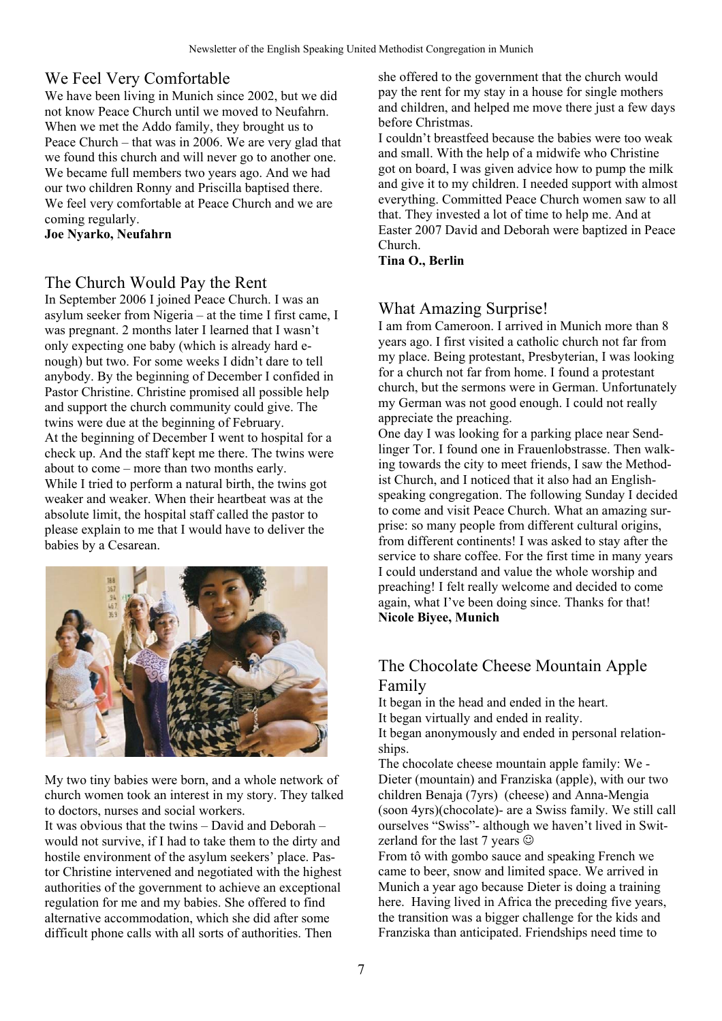## We Feel Very Comfortable

We have been living in Munich since 2002, but we did not know Peace Church until we moved to Neufahrn. When we met the Addo family, they brought us to Peace Church – that was in 2006. We are very glad that we found this church and will never go to another one. We became full members two years ago. And we had our two children Ronny and Priscilla baptised there. We feel very comfortable at Peace Church and we are coming regularly.

**Joe Nyarko, Neufahrn** 

#### The Church Would Pay the Rent

In September 2006 I joined Peace Church. I was an asylum seeker from Nigeria – at the time I first came, I was pregnant. 2 months later I learned that I wasn't only expecting one baby (which is already hard enough) but two. For some weeks I didn't dare to tell anybody. By the beginning of December I confided in Pastor Christine. Christine promised all possible help and support the church community could give. The twins were due at the beginning of February. At the beginning of December I went to hospital for a check up. And the staff kept me there. The twins were about to come – more than two months early. While I tried to perform a natural birth, the twins got weaker and weaker. When their heartbeat was at the absolute limit, the hospital staff called the pastor to please explain to me that I would have to deliver the babies by a Cesarean.



My two tiny babies were born, and a whole network of church women took an interest in my story. They talked to doctors, nurses and social workers.

It was obvious that the twins – David and Deborah – would not survive, if I had to take them to the dirty and hostile environment of the asylum seekers' place. Pastor Christine intervened and negotiated with the highest authorities of the government to achieve an exceptional regulation for me and my babies. She offered to find alternative accommodation, which she did after some difficult phone calls with all sorts of authorities. Then

she offered to the government that the church would pay the rent for my stay in a house for single mothers and children, and helped me move there just a few days before Christmas.

I couldn't breastfeed because the babies were too weak and small. With the help of a midwife who Christine got on board, I was given advice how to pump the milk and give it to my children. I needed support with almost everything. Committed Peace Church women saw to all that. They invested a lot of time to help me. And at Easter 2007 David and Deborah were baptized in Peace Church.

**Tina O., Berlin** 

## What Amazing Surprise!

I am from Cameroon. I arrived in Munich more than 8 years ago. I first visited a catholic church not far from my place. Being protestant, Presbyterian, I was looking for a church not far from home. I found a protestant church, but the sermons were in German. Unfortunately my German was not good enough. I could not really appreciate the preaching.

One day I was looking for a parking place near Sendlinger Tor. I found one in Frauenlobstrasse. Then walking towards the city to meet friends, I saw the Methodist Church, and I noticed that it also had an Englishspeaking congregation. The following Sunday I decided to come and visit Peace Church. What an amazing surprise: so many people from different cultural origins, from different continents! I was asked to stay after the service to share coffee. For the first time in many years I could understand and value the whole worship and preaching! I felt really welcome and decided to come again, what I've been doing since. Thanks for that! **Nicole Biyee, Munich** 

## The Chocolate Cheese Mountain Apple Family

It began in the head and ended in the heart.

It began virtually and ended in reality.

It began anonymously and ended in personal relationships.

The chocolate cheese mountain apple family: We - Dieter (mountain) and Franziska (apple), with our two children Benaja (7yrs) (cheese) and Anna-Mengia (soon 4yrs)(chocolate)- are a Swiss family. We still call ourselves "Swiss"- although we haven't lived in Switzerland for the last 7 years  $\odot$ 

From tô with gombo sauce and speaking French we came to beer, snow and limited space. We arrived in Munich a year ago because Dieter is doing a training here. Having lived in Africa the preceding five years, the transition was a bigger challenge for the kids and Franziska than anticipated. Friendships need time to